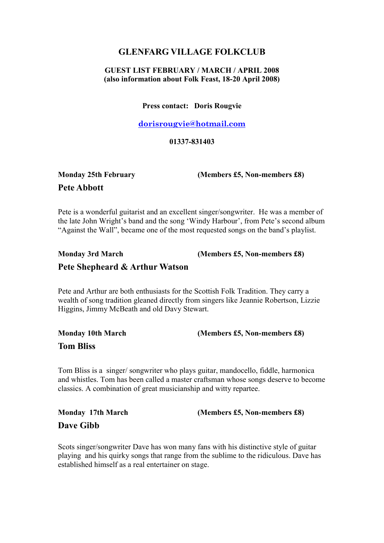#### GLENFARG VILLAGE FOLKCLUB

#### GUEST LIST FEBRUARY / MARCH / APRIL 2008 (also information about Folk Feast, 18-20 April 2008)

Press contact: Doris Rougvie

dorisrougvie@hotmail.com

01337-831403

# Pete Abbott

Monday 25th February (Members £5, Non-members £8)

Pete is a wonderful guitarist and an excellent singer/songwriter. He was a member of the late John Wright's band and the song 'Windy Harbour', from Pete's second album "Against the Wall", became one of the most requested songs on the band's playlist.

### Monday 3rd March (Members £5, Non-members £8) Pete Shepheard & Arthur Watson

Pete and Arthur are both enthusiasts for the Scottish Folk Tradition. They carry a wealth of song tradition gleaned directly from singers like Jeannie Robertson, Lizzie Higgins, Jimmy McBeath and old Davy Stewart.

| <b>Monday 10th March</b> | (Members $£5$ , Non-members $£8$ ) |
|--------------------------|------------------------------------|
| <b>Tom Bliss</b>         |                                    |

Tom Bliss is a singer/ songwriter who plays guitar, mandocello, fiddle, harmonica and whistles. Tom has been called a master craftsman whose songs deserve to become classics. A combination of great musicianship and witty repartee.

Monday 17th March (Members £5, Non-members £8) Dave Gibb

Scots singer/songwriter Dave has won many fans with his distinctive style of guitar playing and his quirky songs that range from the sublime to the ridiculous. Dave has established himself as a real entertainer on stage.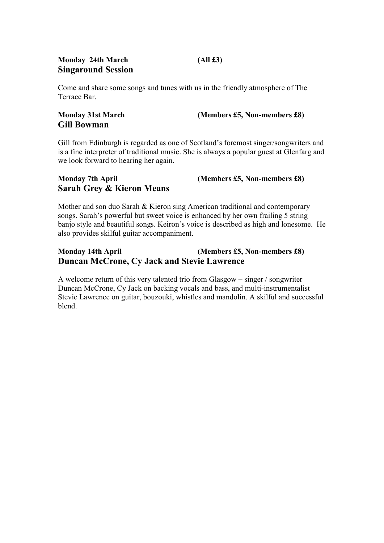#### Monday 24th March (All £3) Singaround Session

Come and share some songs and tunes with us in the friendly atmosphere of The Terrace Bar.

## Gill Bowman

Monday 31st March (Members £5, Non-members £8)

Gill from Edinburgh is regarded as one of Scotland's foremost singer/songwriters and is a fine interpreter of traditional music. She is always a popular guest at Glenfarg and we look forward to hearing her again.

#### Monday 7th April (Members £5, Non-members £8) Sarah Grey & Kieron Means

Mother and son duo Sarah & Kieron sing American traditional and contemporary songs. Sarah's powerful but sweet voice is enhanced by her own frailing 5 string banjo style and beautiful songs. Keiron's voice is described as high and lonesome. He also provides skilful guitar accompaniment.

#### Monday 14th April (Members £5, Non-members £8) Duncan McCrone, Cy Jack and Stevie Lawrence

A welcome return of this very talented trio from Glasgow – singer / songwriter Duncan McCrone, Cy Jack on backing vocals and bass, and multi-instrumentalist Stevie Lawrence on guitar, bouzouki, whistles and mandolin. A skilful and successful blend.